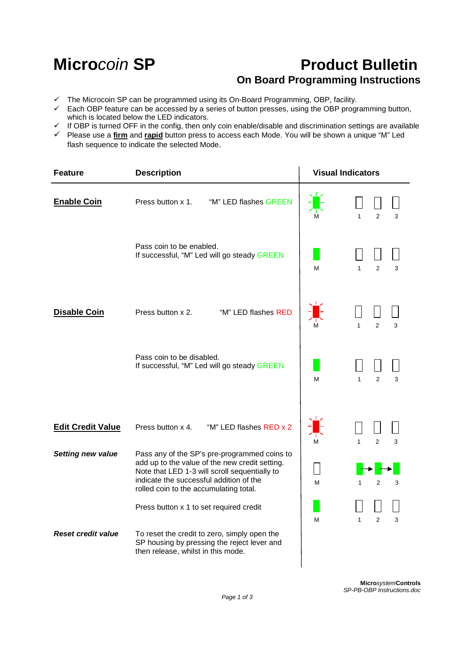l,

## **Microcoin SP Product Bulletin On Board Programming Instructions**

 $\mathbf{r}$ 

- $\checkmark$  The Microcoin SP can be programmed using its On-Board Programming, OBP, facility.
- Each OBP feature can be accessed by a series of button presses, using the OBP programming button, which is located below the LED indicators.
- $\checkmark$  If OBP is turned OFF in the config, then only coin enable/disable and discrimination settings are available
- Please use a **firm** and **rapid** button press to access each Mode. You will be shown a unique "M" Led flash sequence to indicate the selected Mode.

| <b>Feature</b>            | <b>Description</b>                                                                                                                                                                                                                   | <b>Visual Indicators</b> |                                     |
|---------------------------|--------------------------------------------------------------------------------------------------------------------------------------------------------------------------------------------------------------------------------------|--------------------------|-------------------------------------|
| <b>Enable Coin</b>        | "M" LED flashes GREEN<br>Press button x 1.                                                                                                                                                                                           | м                        | $\overline{2}$<br>$\mathbf{1}$<br>3 |
|                           | Pass coin to be enabled.<br>If successful, "M" Led will go steady GREEN                                                                                                                                                              | M                        | $\overline{2}$<br>$\mathbf{1}$<br>3 |
| <b>Disable Coin</b>       | Press button x 2.<br>"M" LED flashes RED                                                                                                                                                                                             | м                        | $\overline{2}$<br>1<br>3            |
|                           | Pass coin to be disabled.<br>If successful, "M" Led will go steady GREEN                                                                                                                                                             | м                        | 2<br>1<br>3                         |
| <b>Edit Credit Value</b>  | Press button x 4.<br>"M" LED flashes RED x 2                                                                                                                                                                                         | М                        | $\overline{2}$<br>3                 |
| <b>Setting new value</b>  | Pass any of the SP's pre-programmed coins to<br>add up to the value of the new credit setting.<br>Note that LED 1-3 will scroll sequentially to<br>indicate the successful addition of the<br>rolled coin to the accumulating total. | M                        | $\overline{2}$<br>3<br>1            |
|                           | Press button x 1 to set required credit                                                                                                                                                                                              | M                        | $\overline{2}$<br>3<br>$\mathbf{1}$ |
| <b>Reset credit value</b> | To reset the credit to zero, simply open the<br>SP housing by pressing the reject lever and<br>then release, whilst in this mode.                                                                                                    |                          |                                     |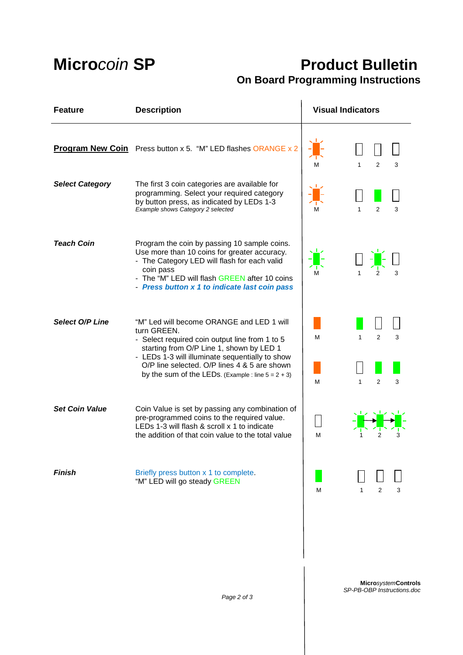# **Micro**coin **SP Product Bulletin On Board Programming Instructions**

| <b>Feature</b>         | <b>Description</b>                                                                                                                                                                                                                                                                                                | <b>Visual Indicators</b>                                                             |  |
|------------------------|-------------------------------------------------------------------------------------------------------------------------------------------------------------------------------------------------------------------------------------------------------------------------------------------------------------------|--------------------------------------------------------------------------------------|--|
|                        | Program New Coin Press button x 5. "M" LED flashes ORANGE x 2                                                                                                                                                                                                                                                     | $\overline{2}$<br>1<br>3<br>м                                                        |  |
| <b>Select Category</b> | The first 3 coin categories are available for<br>programming. Select your required category<br>by button press, as indicated by LEDs 1-3<br>Example shows Category 2 selected                                                                                                                                     | $\mathbf{1}$<br>$\overline{2}$<br>3                                                  |  |
| <b>Teach Coin</b>      | Program the coin by passing 10 sample coins.<br>Use more than 10 coins for greater accuracy.<br>- The Category LED will flash for each valid<br>coin pass<br>- The "M" LED will flash GREEN after 10 coins<br>- Press button x 1 to indicate last coin pass                                                       | 3                                                                                    |  |
| Select O/P Line        | "M" Led will become ORANGE and LED 1 will<br>turn GREEN.<br>- Select required coin output line from 1 to 5<br>starting from O/P Line 1, shown by LED 1<br>- LEDs 1-3 will illuminate sequentially to show<br>O/P line selected. O/P lines 4 & 5 are shown<br>by the sum of the LEDs. (Example: line $5 = 2 + 3$ ) | $\overline{2}$<br>$\mathbf{1}$<br>3<br>M<br>$\mathfrak{p}$<br>$\mathbf{1}$<br>3<br>м |  |
| <b>Set Coin Value</b>  | Coin Value is set by passing any combination of<br>pre-programmed coins to the required value.<br>LEDs 1-3 will flash & scroll x 1 to indicate<br>the addition of that coin value to the total value                                                                                                              | м                                                                                    |  |
| <b>Finish</b>          | Briefly press button x 1 to complete.<br>"M" LED will go steady GREEN                                                                                                                                                                                                                                             | 2<br>3<br>M<br>1                                                                     |  |